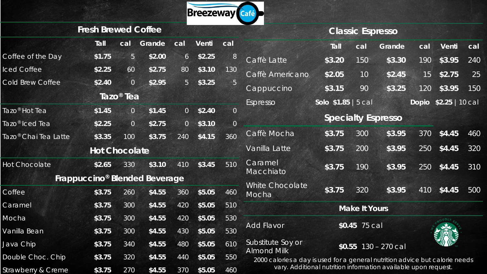

#### **Classic Espresso**

|                         | <b>Fresh Brewed Coffee</b>                |                       |        |                 |        |                |                                                                                                    |                                                                | <b>Classic Espresso</b> |                           |     |                       |     |
|-------------------------|-------------------------------------------|-----------------------|--------|-----------------|--------|----------------|----------------------------------------------------------------------------------------------------|----------------------------------------------------------------|-------------------------|---------------------------|-----|-----------------------|-----|
|                         | Tall                                      | cal                   | Grande | cal             | Venti  | cal            |                                                                                                    | Tall                                                           | cal                     | Grande                    | cal | Venti                 | cal |
| Coffee of the Day       | \$1.75                                    | 5                     | \$2.00 | $6\overline{6}$ | \$2.25 | 8              | Caffè Latte                                                                                        | \$3.20                                                         | 150                     | \$3.30                    | 190 | \$3.95                | 240 |
| <b>Iced Coffee</b>      | \$2.25                                    | 60                    | \$2.75 | 80              | \$3.10 | 130            | Caffè Americano                                                                                    | \$2.05                                                         | 10                      | \$2.45                    | 15  | \$2.75                | 25  |
| <b>Cold Brew Coffee</b> | \$2.40                                    | $\overline{0}$        | \$2.95 | $5\overline{)}$ | \$3.25 | 5              | Cappuccino                                                                                         | \$3.15                                                         | 90                      | \$3.25                    | 120 | \$3.95                | 150 |
|                         |                                           | Tazo <sup>®</sup> Tea |        |                 |        |                | Espresso                                                                                           | Solo \$1.85   5 cal                                            |                         |                           |     | Dopio \$2.25   10 cal |     |
| Tazo® Hot Tea           | \$1.45                                    | $\circ$               | \$1.45 | $\overline{0}$  | \$2.40 | $\overline{0}$ |                                                                                                    |                                                                |                         |                           |     |                       |     |
| Tazo® Iced Tea          | \$2.25                                    | $\overline{0}$        | \$2.75 | $\overline{O}$  | \$3.10 | $\mathbf 0$    |                                                                                                    |                                                                |                         | <b>Specialty Espresso</b> |     |                       |     |
| Tazo® Chai Tea Latte    | \$3.35                                    | 100                   | \$3.75 | 240             | \$4.15 | 360            | Caffè Mocha                                                                                        | \$3.75                                                         | 300                     | \$3.95                    | 370 | \$4.45                | 460 |
|                         | <b>Hot Chocolate</b>                      |                       |        |                 |        |                | Vanilla Latte                                                                                      | \$3.75                                                         | 200                     | \$3.95                    | 250 | \$4.45                | 320 |
| <b>Hot Chocolate</b>    | \$2.65                                    | 330                   | \$3.10 | 410             | \$3.45 | 510            | Caramel<br>Macchiato                                                                               | \$3.75                                                         | 190                     | \$3.95                    | 250 | \$4.45                | 310 |
|                         | Frappuccino <sup>®</sup> Blended Beverage |                       |        |                 |        |                | White Chocolate                                                                                    |                                                                |                         |                           |     |                       |     |
| Coffee                  | \$3.75                                    | 260                   | \$4.55 | 360             | \$5.05 | 460            | Mocha                                                                                              | \$3.75                                                         | 320                     | \$3.95                    | 410 | \$4.45                | 500 |
| Caramel                 | \$3.75                                    | 300                   | \$4.55 | 420             | \$5.05 | 510            |                                                                                                    |                                                                | <b>Make It Yours</b>    |                           |     |                       |     |
| Mocha                   | \$3.75                                    | 300                   | \$4.55 | 420             | \$5.05 | 530            |                                                                                                    |                                                                |                         |                           |     |                       |     |
| Vanilla Bean            | \$3.75                                    | 300                   | \$4.55 | 430             | \$5.05 | 530            | <b>Add Flavor</b>                                                                                  |                                                                | \$0.45 75 cal           |                           |     |                       |     |
| Java Chip               | \$3.75                                    | 340                   | \$4.55 | 480             | \$5.05 | 610            | Substitute Soy or                                                                                  |                                                                |                         | $$0.55$ 130 - 270 cal     |     |                       |     |
| Double Choc. Chip       | \$3.75                                    | 320                   | \$4.55 | 440             | \$5.05 | 550            | <b>Almond Milk</b><br>2000 calories a day is used for a general nutrition advice but calorie needs |                                                                |                         |                           |     |                       |     |
| Strawberry & Creme      | \$3.75                                    | 270                   | \$4.55 | 370             | \$5.05 | 460            |                                                                                                    | vary. Additional nutrition information available upon request. |                         |                           |     |                       |     |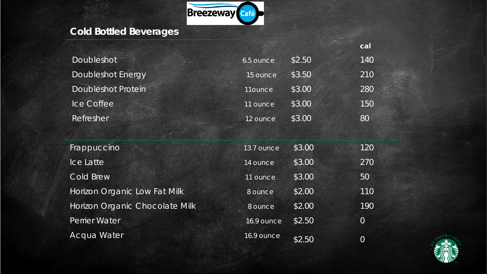

## **Cold Bottled Beverages**

|                           |           |        | cal |
|---------------------------|-----------|--------|-----|
| Doubleshot                | 6.5 ounce | \$2.50 | 140 |
| Doubleshot Energy         | 15 ounce  | \$3.50 | 210 |
| <b>Doubleshot Protein</b> | 11ounce   | \$3.00 | 280 |
| Ice Coffee                | 11 ounce  | \$3.00 | 150 |
| Refresher                 | 12 ounce  | \$3.00 | 80  |

| Frappuccino                    | 13.7 ounce | \$3.00 | 120            |
|--------------------------------|------------|--------|----------------|
| Ice Latte                      | 14 ounce   | \$3.00 | 270            |
| Cold Brew                      | 11 ounce   | \$3.00 | 50             |
| Horizon Organic Low Fat Milk   | 8 ounce    | \$2.00 | 110            |
| Horizon Organic Chocolate Milk | 8 ounce    | \$2.00 | 190            |
| Perrier Water                  | 16.9 ounce | \$2.50 | $\overline{0}$ |
| Acqua Water                    | 16.9 ounce | \$2.50 | 0              |

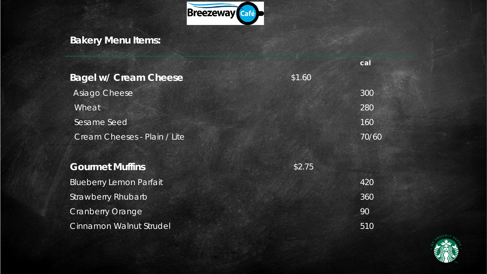

# **Bakery Menu Items:**

|                                |        | cal   |
|--------------------------------|--------|-------|
| <b>Bagel w/ Cream Cheese</b>   | \$1.60 |       |
| Asiago Cheese                  |        | 300   |
| Wheat                          |        | 280   |
| Sesame Seed                    |        | 160   |
| Cream Cheeses - Plain / Lite   |        | 70/60 |
|                                |        |       |
| <b>Gourmet Muffins</b>         | \$2.75 |       |
| <b>Blueberry Lemon Parfait</b> |        | 420   |
| <b>Strawberry Rhubarb</b>      |        | 360   |
| <b>Cranberry Orange</b>        |        | 90    |
| Cinnamon Walnut Strudel        |        | 510   |

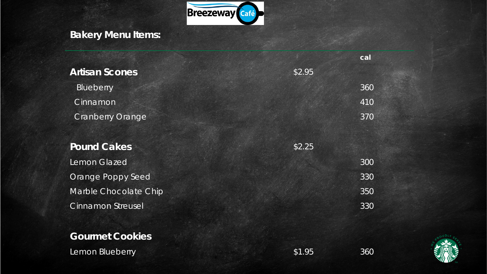

## **Bakery Menu Items:**

|                          |        | cal |
|--------------------------|--------|-----|
| <b>Artisan Scones</b>    | \$2.95 |     |
| Blueberry                |        | 360 |
| Cinnamon                 |        | 410 |
| <b>Cranberry Orange</b>  |        | 370 |
|                          |        |     |
| <b>Pound Cakes</b>       | \$2.25 |     |
| Lemon Glazed             |        | 300 |
| Orange Poppy Seed        |        | 330 |
| Marble Chocolate Chip    |        | 350 |
| <b>Cinnamon Streusel</b> |        | 330 |

### **Gourmet Cookies**

Lemon Blueberry **\$1.95** 360



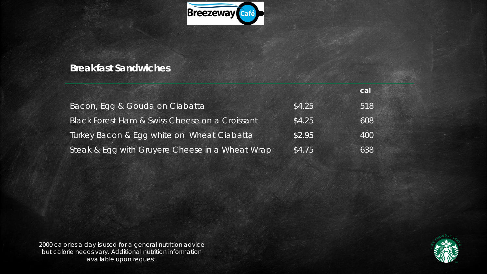

### **Breakfast Sandwiches**

|                                                 |        | cal |
|-------------------------------------------------|--------|-----|
| Bacon, Egg & Gouda on Ciabatta                  | \$4.25 | 518 |
| Black Forest Ham & Swiss Cheese on a Croissant  | \$4.25 | 608 |
| Turkey Bacon & Egg white on Wheat Clabatta      | \$2.95 | 400 |
| Steak & Egg with Gruyere Cheese in a Wheat Wrap | \$4.75 | 638 |

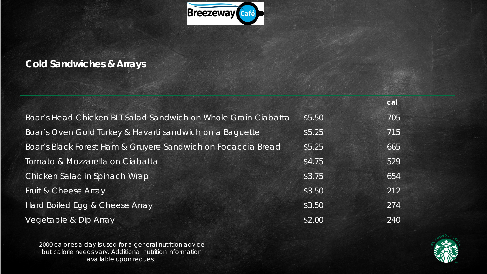

### **Cold Sandwiches & Arrays**

|                                                                |        | cal |
|----------------------------------------------------------------|--------|-----|
| Boar's Head Chicken BLT Salad Sandwich on Whole Grain Ciabatta | \$5.50 | 705 |
| Boar's Oven Gold Turkey & Havarti sandwich on a Baguette       | \$5.25 | 715 |
| Boar's Black Forest Ham & Gruyere Sandwich on Focaccia Bread   | \$5.25 | 665 |
| Tomato & Mozzarella on Ciabatta                                | \$4.75 | 529 |
| Chicken Salad in Spinach Wrap                                  | \$3.75 | 654 |
| Fruit & Cheese Array                                           | \$3.50 | 212 |
| Hard Boiled Egg & Cheese Array                                 | \$3.50 | 274 |
| Vegetable & Dip Array                                          | \$2.00 | 240 |

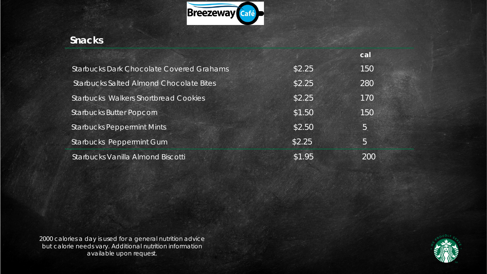

### **Snacks**

|                                                 |        | cal |  |
|-------------------------------------------------|--------|-----|--|
| <b>Starbucks Dark Chocolate Covered Grahams</b> | \$2.25 | 150 |  |
| <b>Starbucks Salted Almond Chocolate Bites</b>  | \$2.25 | 280 |  |
| <b>Starbucks Walkers Shortbread Cookies</b>     | \$2.25 | 170 |  |
| <b>Starbucks Butter Popcorn</b>                 | \$1.50 | 150 |  |
| <b>Starbucks Peppermint Mints</b>               | \$2.50 | 5   |  |
| Starbucks Peppermint Gum                        | \$2.25 | 5   |  |
| Starbucks Vanilla Almond Biscotti               | \$1.95 | 200 |  |